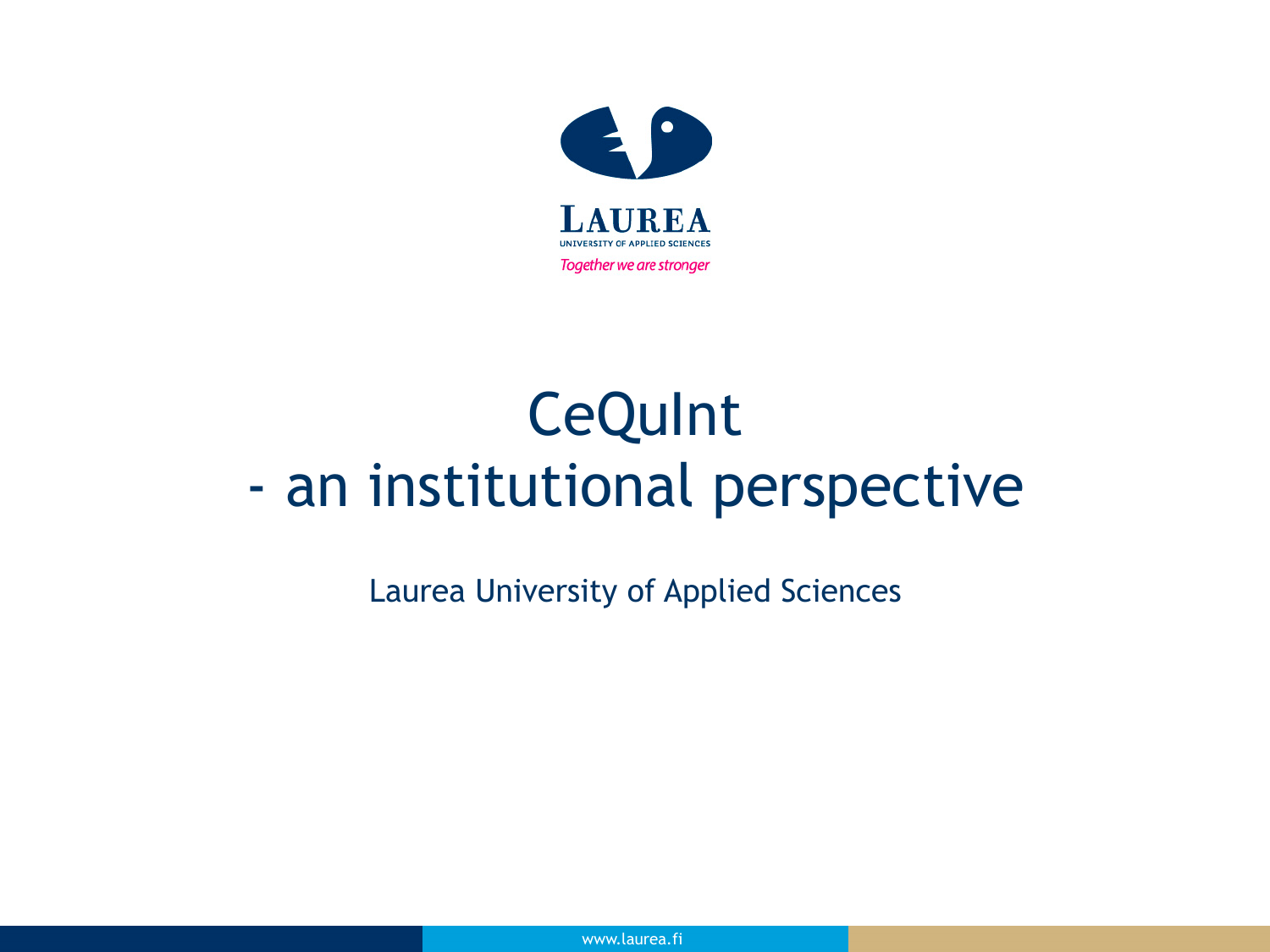

# **CeQuInt** - an institutional perspective

Laurea University of Applied Sciences

www.laurea.fi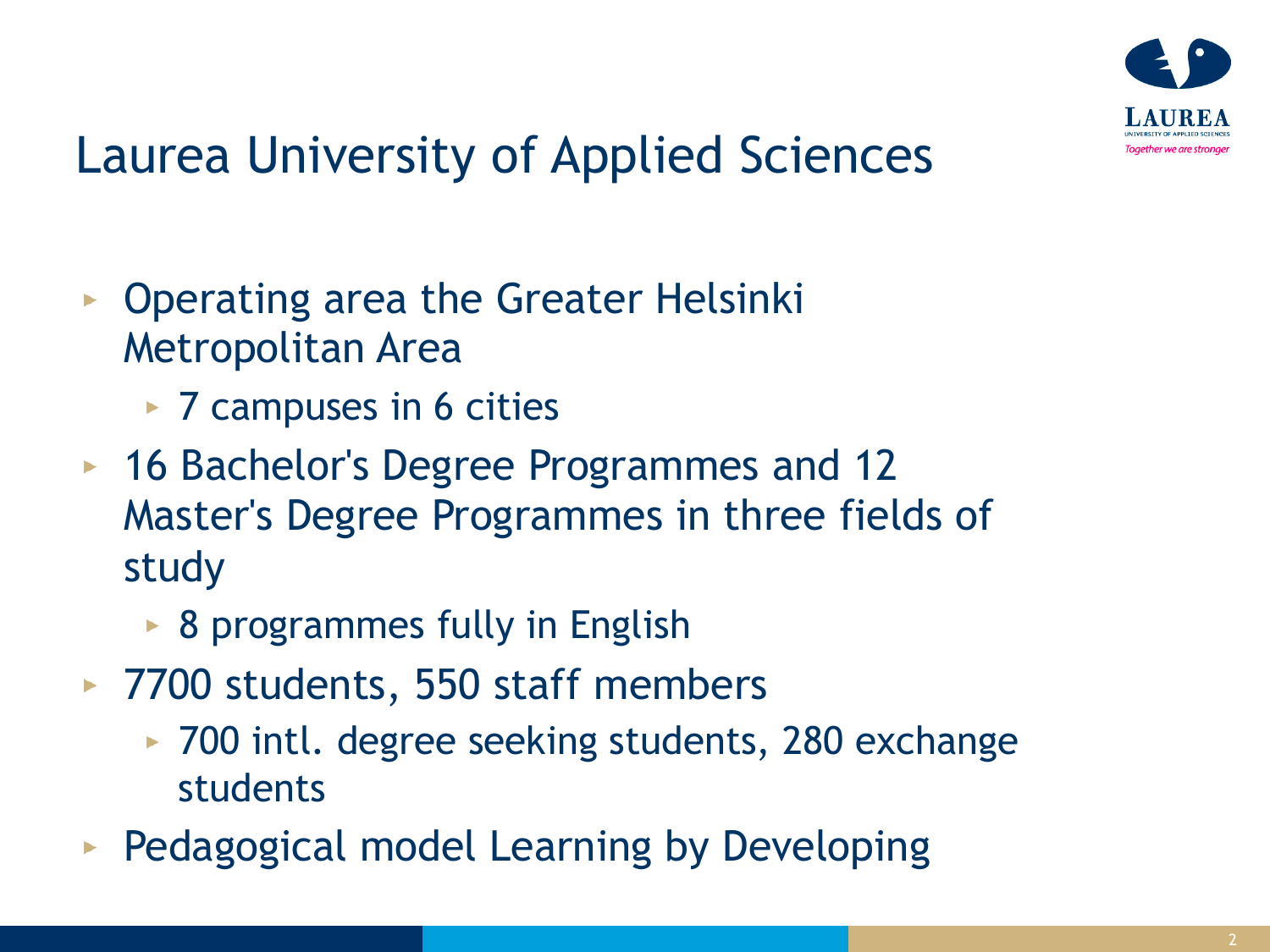

## Laurea University of Applied Sciences

- Operating area the Greater Helsinki Metropolitan Area
	- ► 7 campuses in 6 cities
- ► 16 Bachelor's Degree Programmes and 12 Master's Degree Programmes in three fields of study
	- ▶ 8 programmes fully in English
- ► 7700 students, 550 staff members
	- ► 700 intl. degree seeking students, 280 exchange students
- **Pedagogical model Learning by Developing**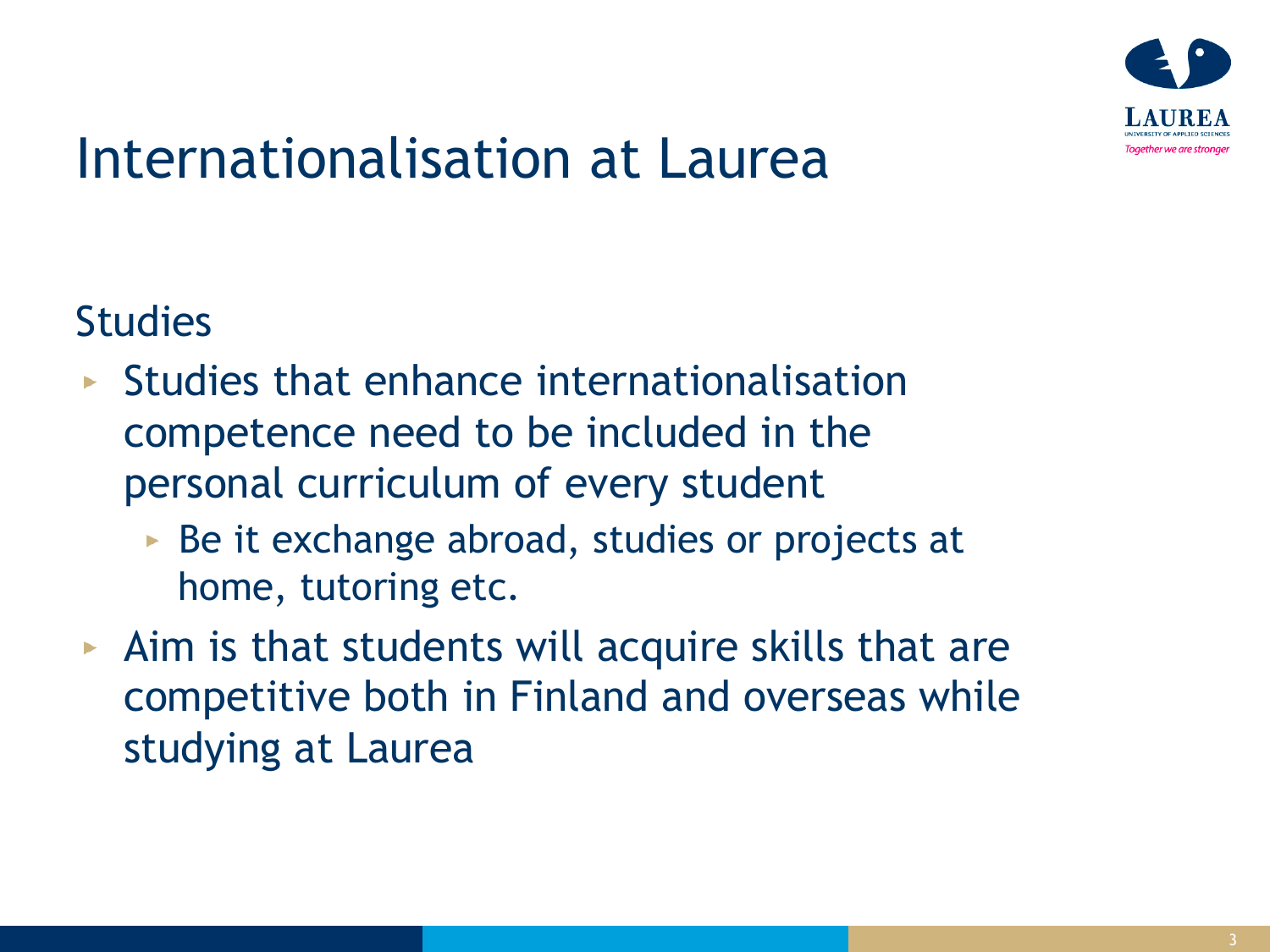

## Internationalisation at Laurea

**Studies** 

- $\triangleright$  Studies that enhance internationalisation competence need to be included in the personal curriculum of every student
	- $\triangleright$  Be it exchange abroad, studies or projects at home, tutoring etc.
- $\triangleright$  Aim is that students will acquire skills that are competitive both in Finland and overseas while studying at Laurea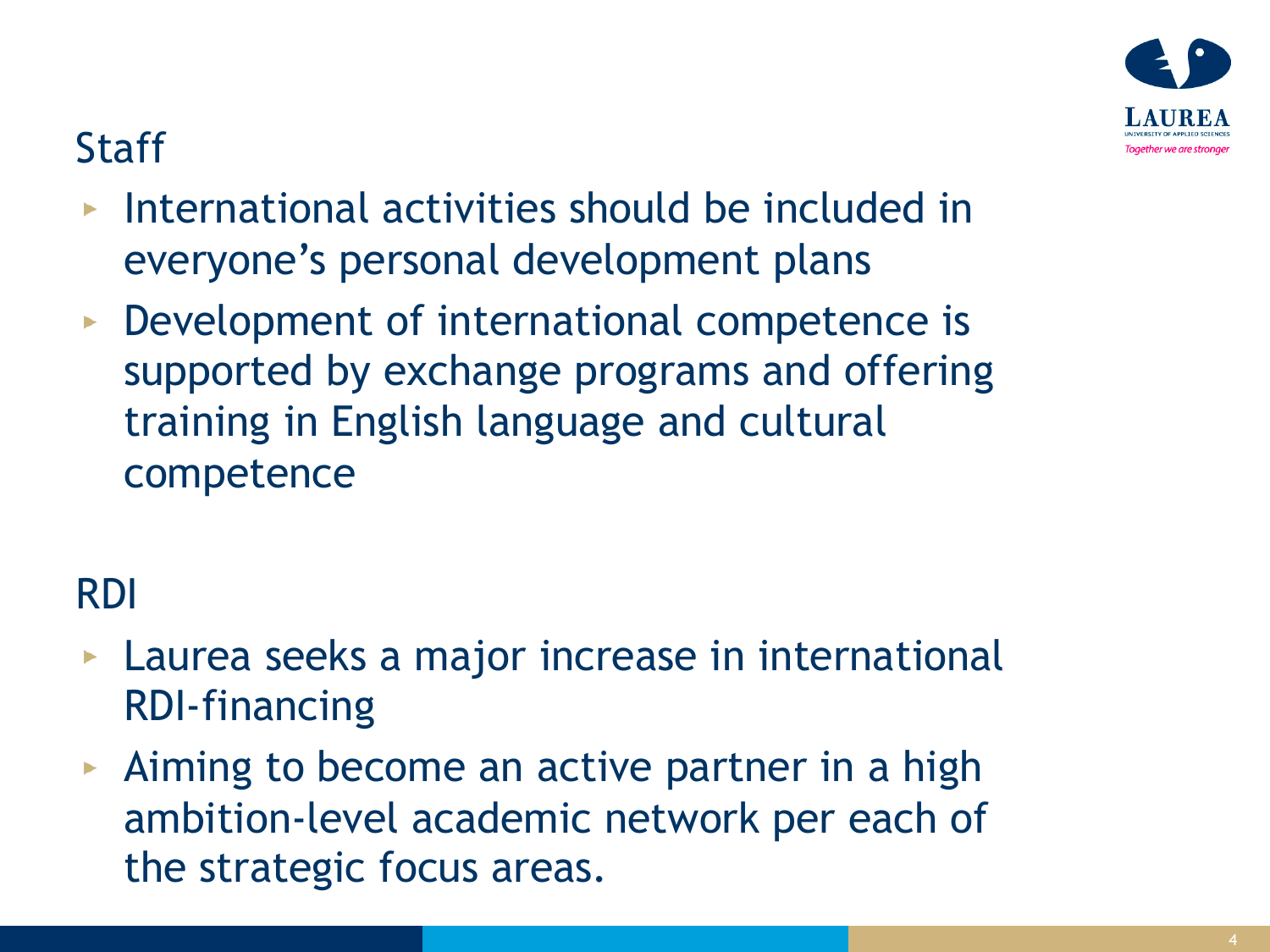#### **Staff**

- International activities should be included in everyone's personal development plans
- **Development of international competence is** supported by exchange programs and offering training in English language and cultural competence

#### RDI

- **Laurea seeks a major increase in international** RDI-financing
- Aiming to become an active partner in a high ambition-level academic network per each of the strategic focus areas.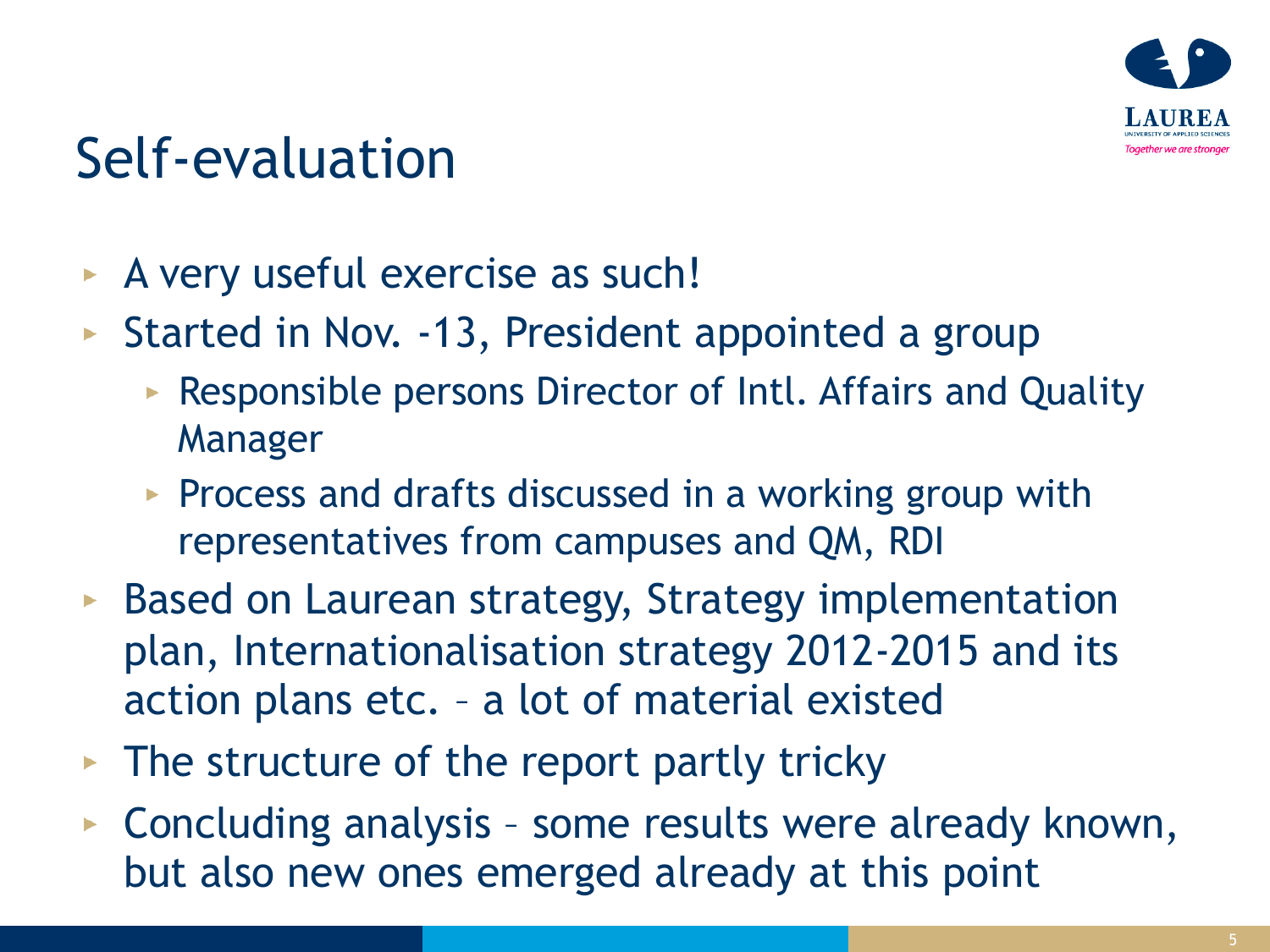

# Self-evaluation

- A very useful exercise as such!
- Started in Nov.  $-13$ , President appointed a group
	- **Responsible persons Director of Intl. Affairs and Quality** Manager
	- **Process and drafts discussed in a working group with** representatives from campuses and QM, RDI
- ► Based on Laurean strategy, Strategy implementation plan, Internationalisation strategy 2012-2015 and its action plans etc. – a lot of material existed
- $\triangleright$  The structure of the report partly tricky
- ▶ Concluding analysis some results were already known, but also new ones emerged already at this point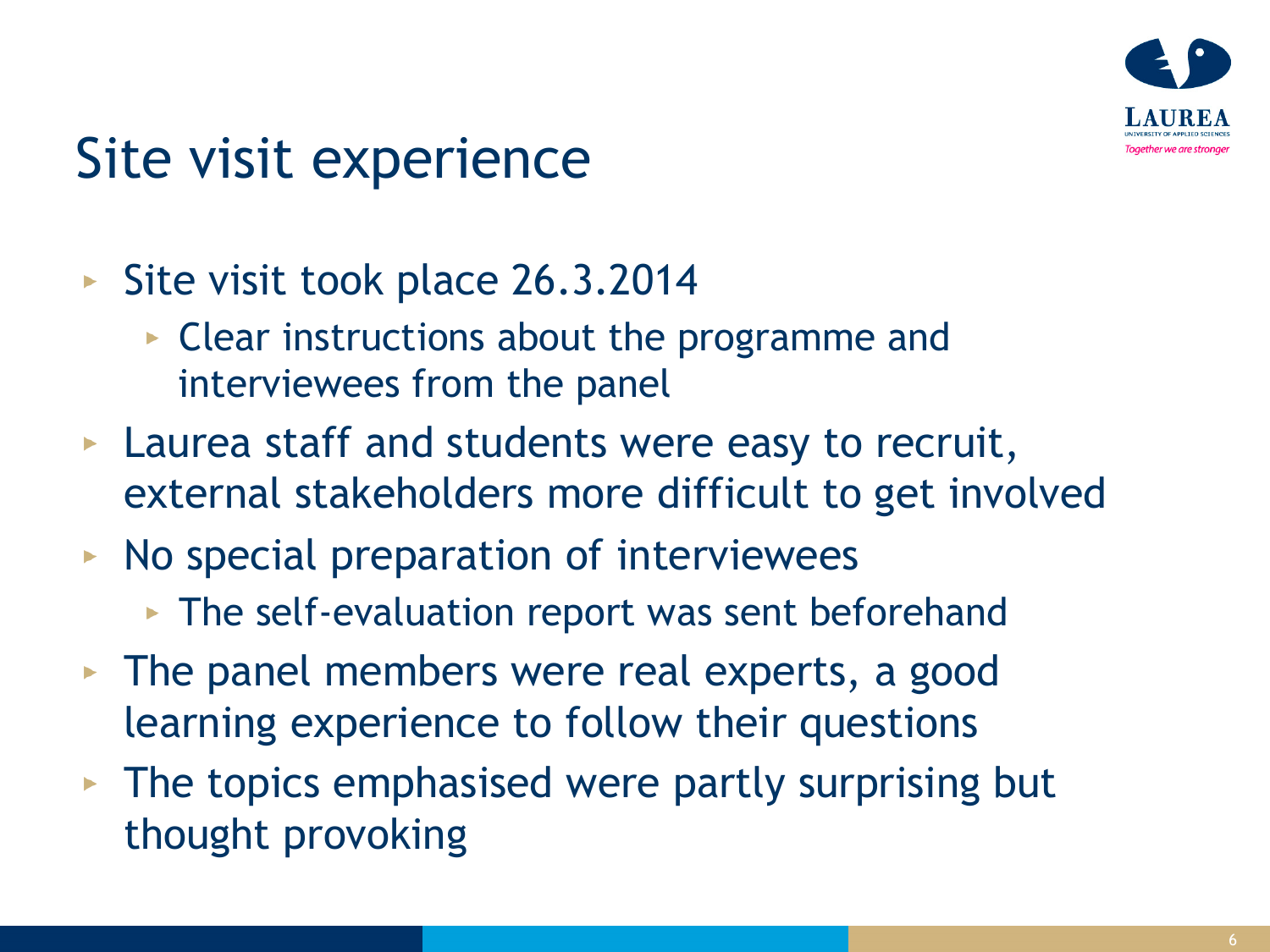

# Site visit experience

- Site visit took place 26.3.2014
	- ► Clear instructions about the programme and interviewees from the panel
- **Laurea staff and students were easy to recruit,** external stakeholders more difficult to get involved
- $\triangleright$  No special preparation of interviewees
	- The self-evaluation report was sent beforehand
- The panel members were real experts, a good learning experience to follow their questions
- $\triangleright$  The topics emphasised were partly surprising but thought provoking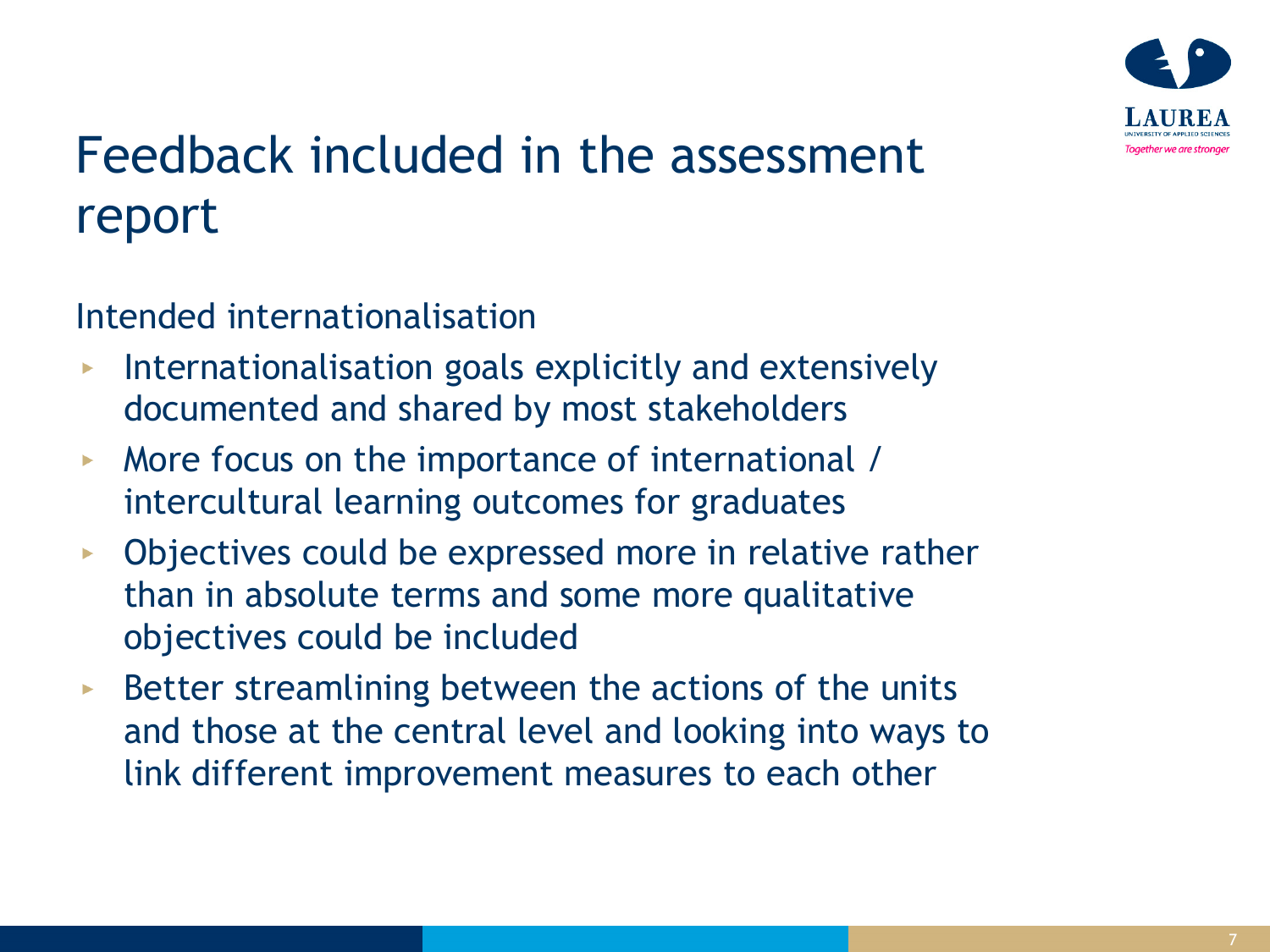

### Feedback included in the assessment report

Intended internationalisation

- Internationalisation goals explicitly and extensively documented and shared by most stakeholders
- More focus on the importance of international /  $\blacktriangleright$ intercultural learning outcomes for graduates
- Objectives could be expressed more in relative rather  $\blacktriangleright$ than in absolute terms and some more qualitative objectives could be included
- Better streamlining between the actions of the units  $\blacktriangleright$ and those at the central level and looking into ways to link different improvement measures to each other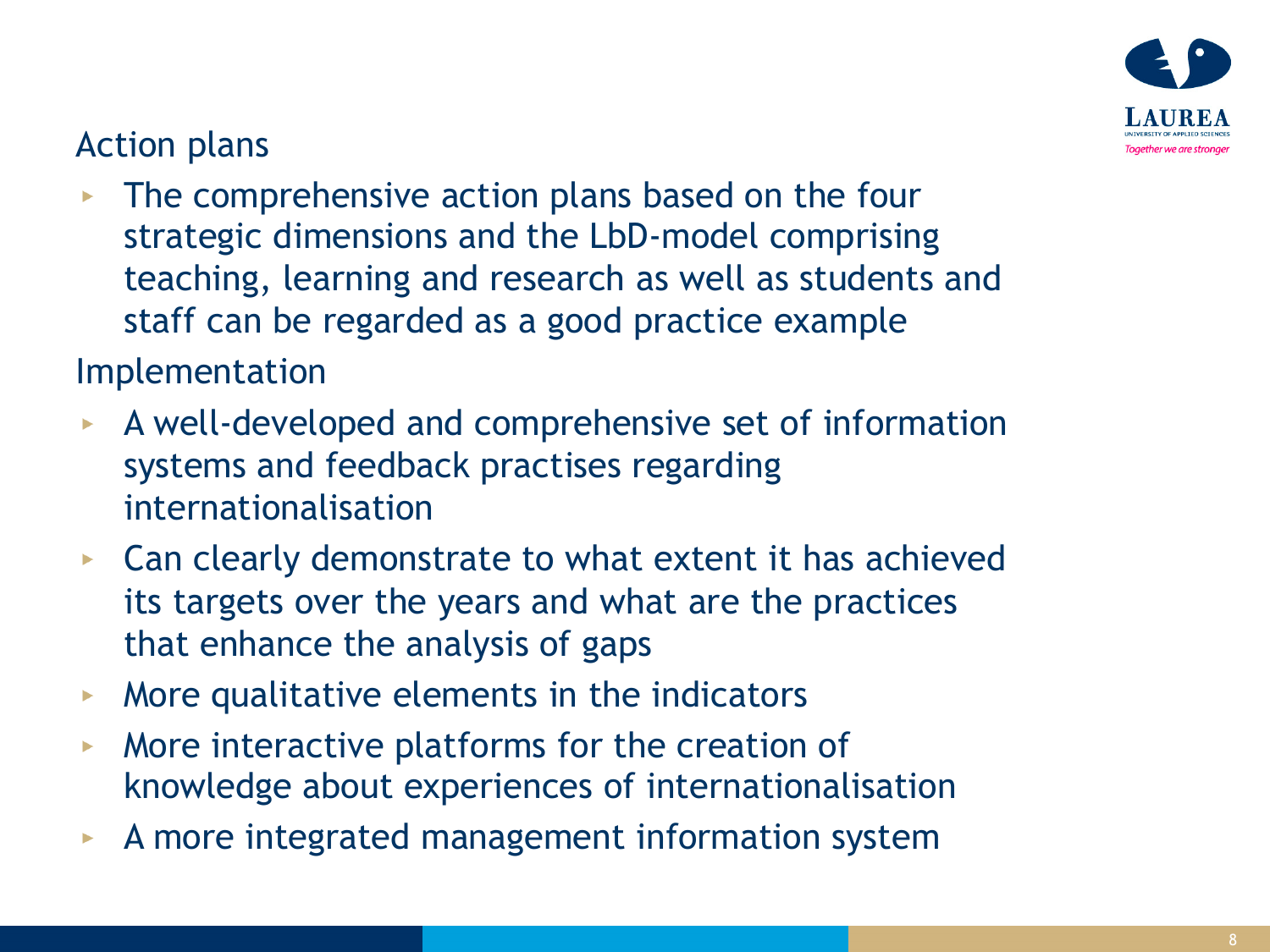

#### Action plans

• The comprehensive action plans based on the four strategic dimensions and the LbD-model comprising teaching, learning and research as well as students and staff can be regarded as a good practice example

Implementation

- A well-developed and comprehensive set of information systems and feedback practises regarding internationalisation
- ► Can clearly demonstrate to what extent it has achieved its targets over the years and what are the practices that enhance the analysis of gaps
- More qualitative elements in the indicators  $\blacktriangleright$  .
- More interactive platforms for the creation of  $\blacktriangleright$ knowledge about experiences of internationalisation
- A more integrated management information system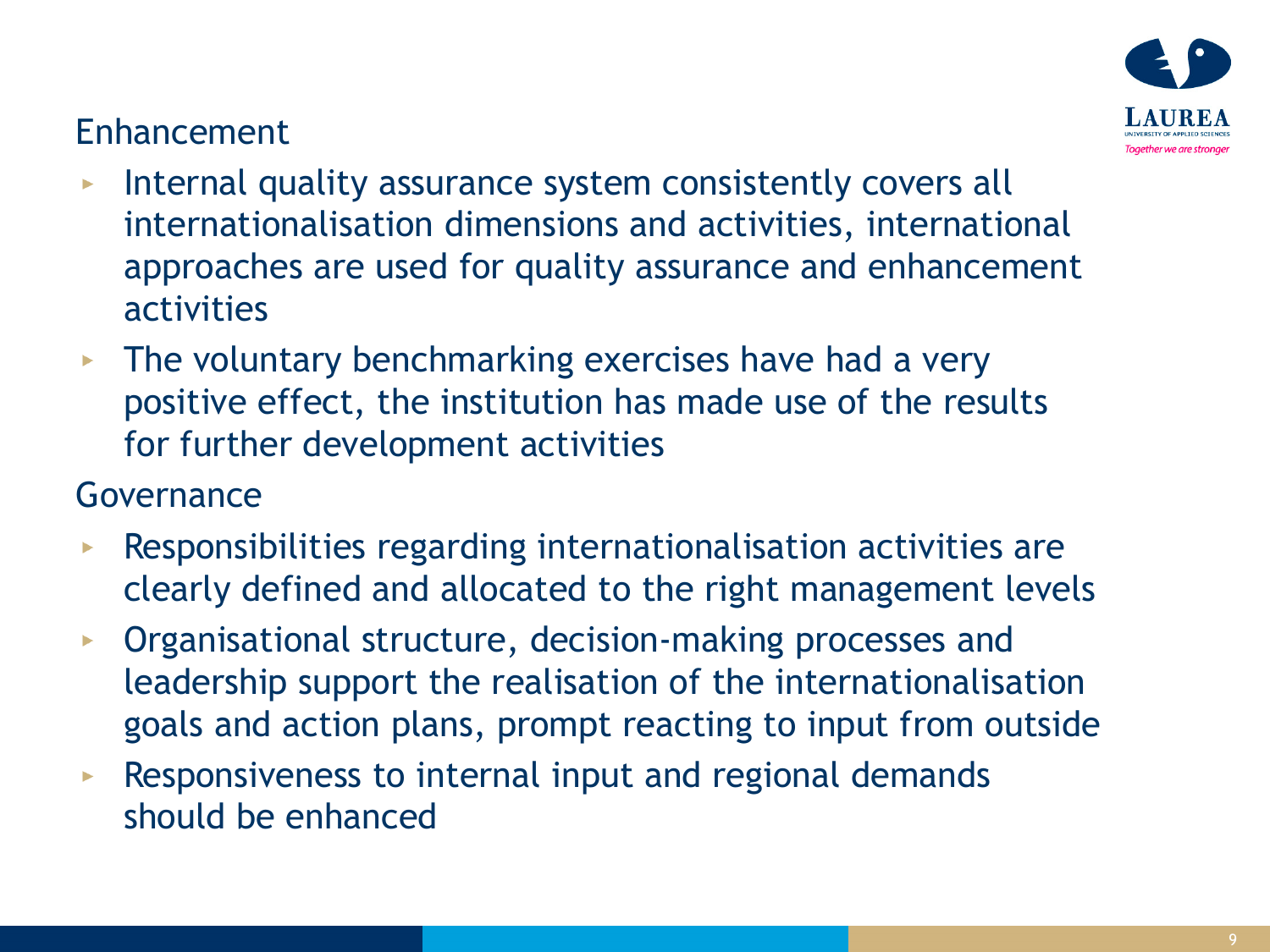#### Enhancement



- Internal quality assurance system consistently covers all internationalisation dimensions and activities, international approaches are used for quality assurance and enhancement activities
- $\triangleright$  The voluntary benchmarking exercises have had a very positive effect, the institution has made use of the results for further development activities

#### Governance

- Responsibilities regarding internationalisation activities are clearly defined and allocated to the right management levels
- Organisational structure, decision-making processes and  $\blacktriangleright$ leadership support the realisation of the internationalisation goals and action plans, prompt reacting to input from outside
- Responsiveness to internal input and regional demands  $\blacktriangleright$ should be enhanced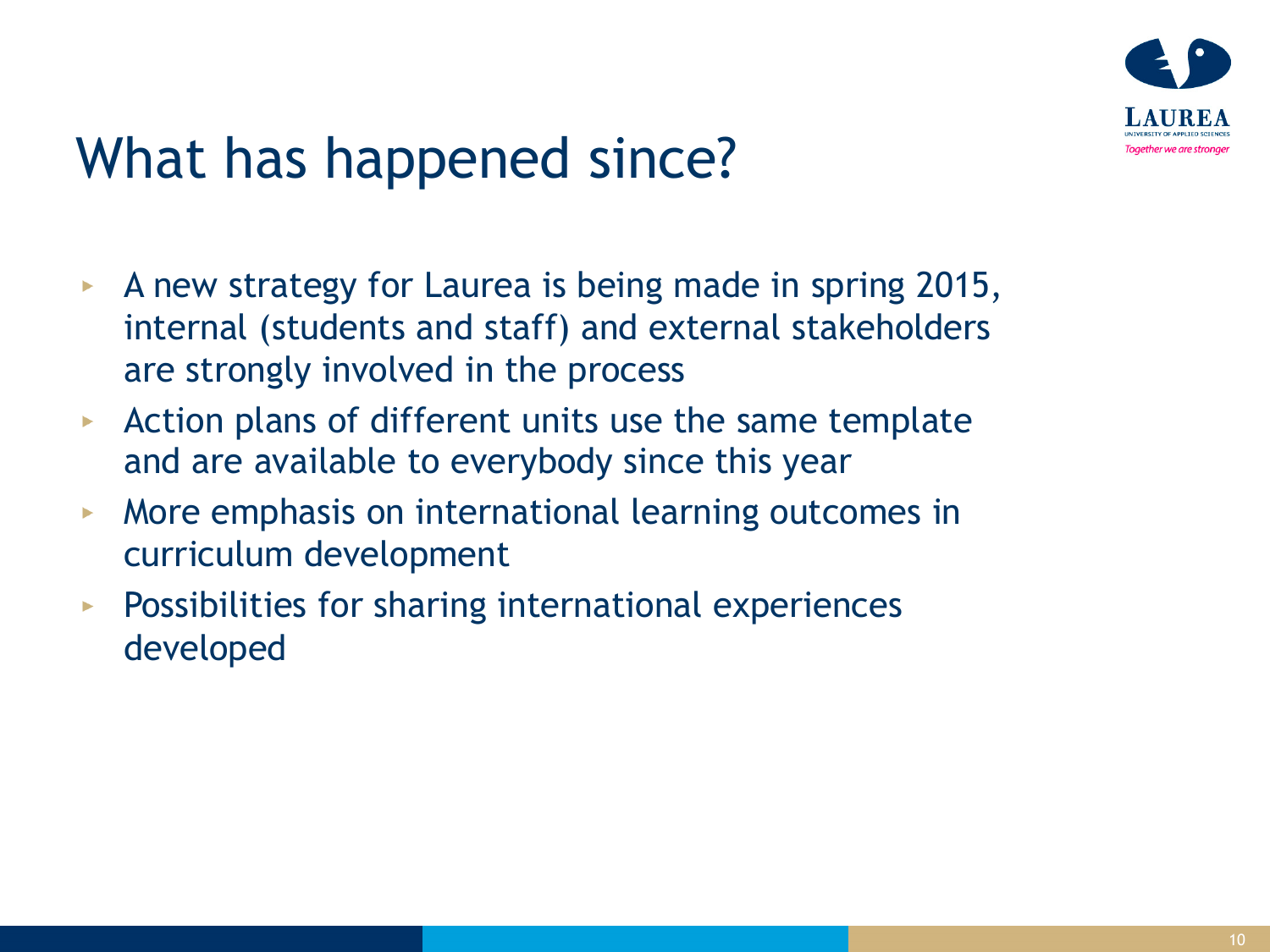

# What has happened since?

- A new strategy for Laurea is being made in spring 2015,  $\blacktriangleright$ internal (students and staff) and external stakeholders are strongly involved in the process
- Action plans of different units use the same template  $\blacktriangleright$ and are available to everybody since this year
- More emphasis on international learning outcomes in  $\blacktriangleright$ curriculum development
- Possibilities for sharing international experiences  $\blacktriangleright$ developed